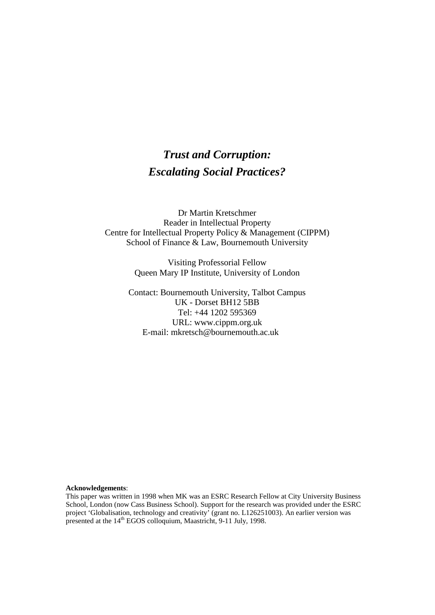# *Trust and Corruption: Escalating Social Practices?*

Dr Martin Kretschmer Reader in Intellectual Property Centre for Intellectual Property Policy & Management (CIPPM) School of Finance & Law, Bournemouth University

> Visiting Professorial Fellow Queen Mary IP Institute, University of London

Contact: Bournemouth University, Talbot Campus UK - Dorset BH12 5BB Tel: +44 1202 595369 URL: www.cippm.org.uk E-mail: mkretsch@bournemouth.ac.uk

#### **Acknowledgements**:

This paper was written in 1998 when MK was an ESRC Research Fellow at City University Business School, London (now Cass Business School). Support for the research was provided under the ESRC project 'Globalisation, technology and creativity' (grant no. L126251003). An earlier version was presented at the 14<sup>th</sup> EGOS colloquium, Maastricht, 9-11 July, 1998.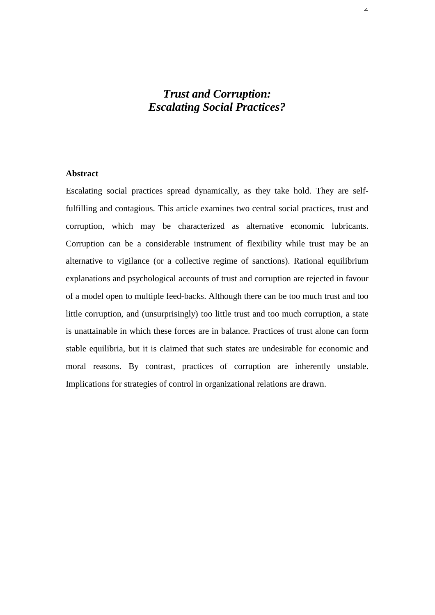# *Trust and Corruption: Escalating Social Practices?*

## **Abstract**

Escalating social practices spread dynamically, as they take hold. They are selffulfilling and contagious. This article examines two central social practices, trust and corruption, which may be characterized as alternative economic lubricants. Corruption can be a considerable instrument of flexibility while trust may be an alternative to vigilance (or a collective regime of sanctions). Rational equilibrium explanations and psychological accounts of trust and corruption are rejected in favour of a model open to multiple feed-backs. Although there can be too much trust and too little corruption, and (unsurprisingly) too little trust and too much corruption, a state is unattainable in which these forces are in balance. Practices of trust alone can form stable equilibria, but it is claimed that such states are undesirable for economic and moral reasons. By contrast, practices of corruption are inherently unstable. Implications for strategies of control in organizational relations are drawn.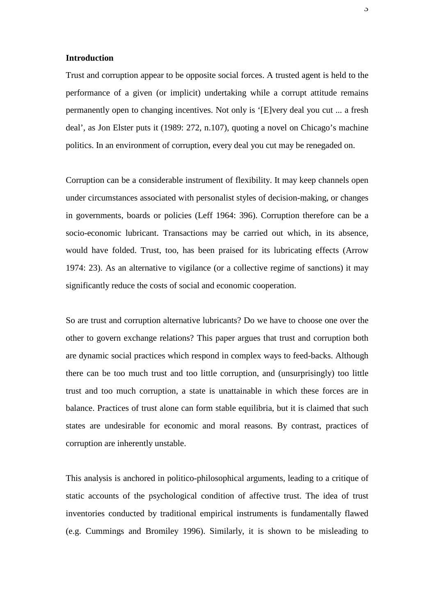#### **Introduction**

Trust and corruption appear to be opposite social forces. A trusted agent is held to the performance of a given (or implicit) undertaking while a corrupt attitude remains permanently open to changing incentives. Not only is '[E]very deal you cut ... a fresh deal', as Jon Elster puts it (1989: 272, n.107), quoting a novel on Chicago's machine politics. In an environment of corruption, every deal you cut may be renegaded on.

Corruption can be a considerable instrument of flexibility. It may keep channels open under circumstances associated with personalist styles of decision-making, or changes in governments, boards or policies (Leff 1964: 396). Corruption therefore can be a socio-economic lubricant. Transactions may be carried out which, in its absence, would have folded. Trust, too, has been praised for its lubricating effects (Arrow 1974: 23). As an alternative to vigilance (or a collective regime of sanctions) it may significantly reduce the costs of social and economic cooperation.

So are trust and corruption alternative lubricants? Do we have to choose one over the other to govern exchange relations? This paper argues that trust and corruption both are dynamic social practices which respond in complex ways to feed-backs. Although there can be too much trust and too little corruption, and (unsurprisingly) too little trust and too much corruption, a state is unattainable in which these forces are in balance. Practices of trust alone can form stable equilibria, but it is claimed that such states are undesirable for economic and moral reasons. By contrast, practices of corruption are inherently unstable.

This analysis is anchored in politico-philosophical arguments, leading to a critique of static accounts of the psychological condition of affective trust. The idea of trust inventories conducted by traditional empirical instruments is fundamentally flawed (e.g. Cummings and Bromiley 1996). Similarly, it is shown to be misleading to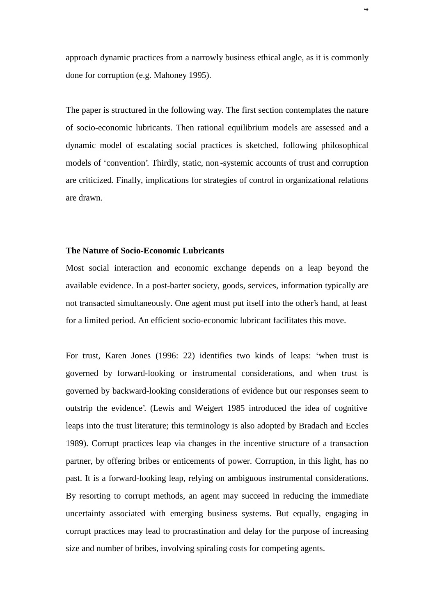approach dynamic practices from a narrowly business ethical angle, as it is commonly done for corruption (e.g. Mahoney 1995).

The paper is structured in the following way. The first section contemplates the nature of socio-economic lubricants. Then rational equilibrium models are assessed and a dynamic model of escalating social practices is sketched, following philosophical models of 'convention'. Thirdly, static, non -systemic accounts of trust and corruption are criticized. Finally, implications for strategies of control in organizational relations are drawn.

#### **The Nature of Socio-Economic Lubricants**

Most social interaction and economic exchange depends on a leap beyond the available evidence. In a post-barter society, goods, services, information typically are not transacted simultaneously. One agent must put itself into the other's hand, at least for a limited period. An efficient socio-economic lubricant facilitates this move.

For trust, Karen Jones (1996: 22) identifies two kinds of leaps: 'when trust is governed by forward-looking or instrumental considerations, and when trust is governed by backward-looking considerations of evidence but our responses seem to outstrip the evidence'. (Lewis and Weigert 1985 introduced the idea of cognitive leaps into the trust literature; this terminology is also adopted by Bradach and Eccles 1989). Corrupt practices leap via changes in the incentive structure of a transaction partner, by offering bribes or enticements of power. Corruption, in this light, has no past. It is a forward-looking leap, relying on ambiguous instrumental considerations. By resorting to corrupt methods, an agent may succeed in reducing the immediate uncertainty associated with emerging business systems. But equally, engaging in corrupt practices may lead to procrastination and delay for the purpose of increasing size and number of bribes, involving spiraling costs for competing agents.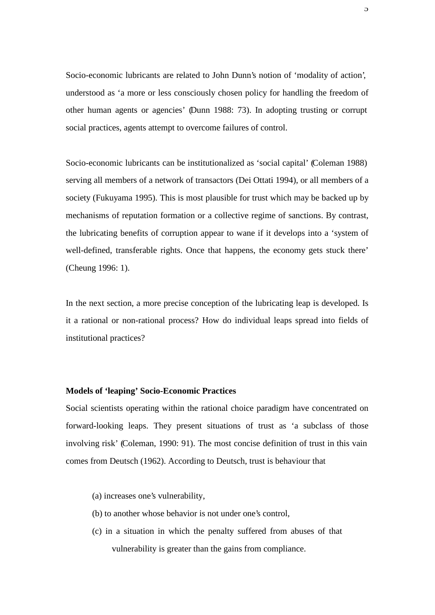Socio-economic lubricants are related to John Dunn's notion of 'modality of action', understood as 'a more or less consciously chosen policy for handling the freedom of other human agents or agencies' (Dunn 1988: 73). In adopting trusting or corrupt social practices, agents attempt to overcome failures of control.

Socio-economic lubricants can be institutionalized as 'social capital' (Coleman 1988) serving all members of a network of transactors (Dei Ottati 1994), or all members of a society (Fukuyama 1995). This is most plausible for trust which may be backed up by mechanisms of reputation formation or a collective regime of sanctions. By contrast, the lubricating benefits of corruption appear to wane if it develops into a 'system of well-defined, transferable rights. Once that happens, the economy gets stuck there' (Cheung 1996: 1).

In the next section, a more precise conception of the lubricating leap is developed. Is it a rational or non-rational process? How do individual leaps spread into fields of institutional practices?

#### **Models of 'leaping' Socio-Economic Practices**

Social scientists operating within the rational choice paradigm have concentrated on forward-looking leaps. They present situations of trust as 'a subclass of those involving risk' (Coleman, 1990: 91). The most concise definition of trust in this vain comes from Deutsch (1962). According to Deutsch, trust is behaviour that

- (a) increases one's vulnerability,
- (b) to another whose behavior is not under one's control,
- (c) in a situation in which the penalty suffered from abuses of that vulnerability is greater than the gains from compliance.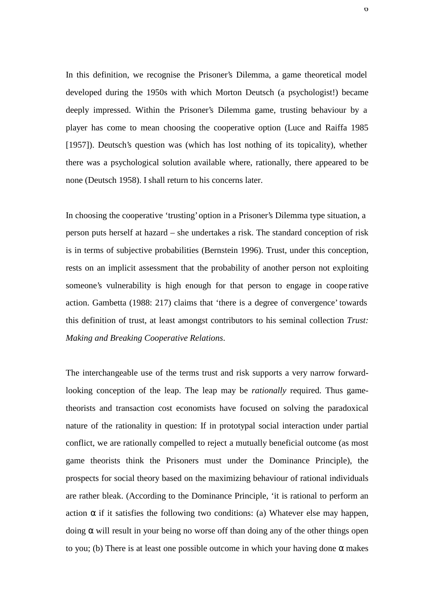In this definition, we recognise the Prisoner's Dilemma, a game theoretical model developed during the 1950s with which Morton Deutsch (a psychologist!) became deeply impressed. Within the Prisoner's Dilemma game, trusting behaviour by a player has come to mean choosing the cooperative option (Luce and Raiffa 1985 [1957]). Deutsch's question was (which has lost nothing of its topicality), whether there was a psychological solution available where, rationally, there appeared to be none (Deutsch 1958). I shall return to his concerns later.

In choosing the cooperative 'trusting' option in a Prisoner's Dilemma type situation, a person puts herself at hazard – she undertakes a risk. The standard conception of risk is in terms of subjective probabilities (Bernstein 1996). Trust, under this conception, rests on an implicit assessment that the probability of another person not exploiting someone's vulnerability is high enough for that person to engage in coope rative action. Gambetta (1988: 217) claims that 'there is a degree of convergence' towards this definition of trust, at least amongst contributors to his seminal collection *Trust: Making and Breaking Cooperative Relations*.

The interchangeable use of the terms trust and risk supports a very narrow forwardlooking conception of the leap. The leap may be *rationally* required. Thus gametheorists and transaction cost economists have focused on solving the paradoxical nature of the rationality in question: If in prototypal social interaction under partial conflict, we are rationally compelled to reject a mutually beneficial outcome (as most game theorists think the Prisoners must under the Dominance Principle), the prospects for social theory based on the maximizing behaviour of rational individuals are rather bleak. (According to the Dominance Principle, 'it is rational to perform an action  $\alpha$  if it satisfies the following two conditions: (a) Whatever else may happen, doing α will result in your being no worse off than doing any of the other things open to you; (b) There is at least one possible outcome in which your having done  $\alpha$  makes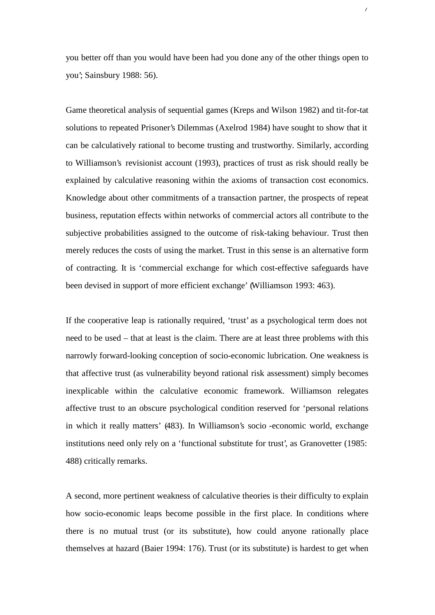you better off than you would have been had you done any of the other things open to you'; Sainsbury 1988: 56).

 $\overline{1}$ 

Game theoretical analysis of sequential games (Kreps and Wilson 1982) and tit-for-tat solutions to repeated Prisoner's Dilemmas (Axelrod 1984) have sought to show that it can be calculatively rational to become trusting and trustworthy. Similarly, according to Williamson's revisionist account (1993), practices of trust as risk should really be explained by calculative reasoning within the axioms of transaction cost economics. Knowledge about other commitments of a transaction partner, the prospects of repeat business, reputation effects within networks of commercial actors all contribute to the subjective probabilities assigned to the outcome of risk-taking behaviour. Trust then merely reduces the costs of using the market. Trust in this sense is an alternative form of contracting. It is 'commercial exchange for which cost-effective safeguards have been devised in support of more efficient exchange' (Williamson 1993: 463).

If the cooperative leap is rationally required, 'trust' as a psychological term does not need to be used – that at least is the claim. There are at least three problems with this narrowly forward-looking conception of socio-economic lubrication. One weakness is that affective trust (as vulnerability beyond rational risk assessment) simply becomes inexplicable within the calculative economic framework. Williamson relegates affective trust to an obscure psychological condition reserved for 'personal relations in which it really matters' (483). In Williamson's socio -economic world, exchange institutions need only rely on a 'functional substitute for trust', as Granovetter (1985: 488) critically remarks.

A second, more pertinent weakness of calculative theories is their difficulty to explain how socio-economic leaps become possible in the first place. In conditions where there is no mutual trust (or its substitute), how could anyone rationally place themselves at hazard (Baier 1994: 176). Trust (or its substitute) is hardest to get when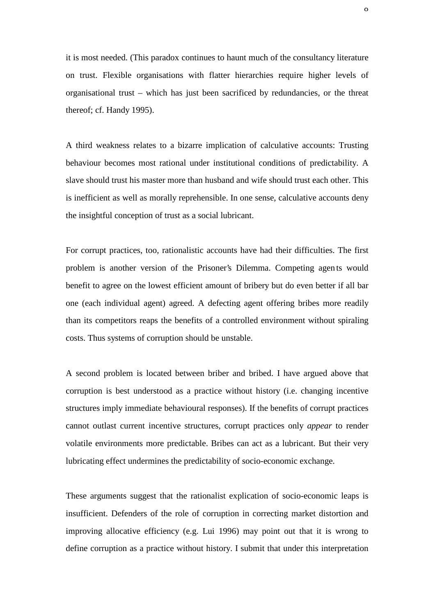it is most needed. (This paradox continues to haunt much of the consultancy literature on trust. Flexible organisations with flatter hierarchies require higher levels of organisational trust – which has just been sacrificed by redundancies, or the threat thereof; cf. Handy 1995).

A third weakness relates to a bizarre implication of calculative accounts: Trusting behaviour becomes most rational under institutional conditions of predictability. A slave should trust his master more than husband and wife should trust each other. This is inefficient as well as morally reprehensible. In one sense, calculative accounts deny the insightful conception of trust as a social lubricant.

For corrupt practices, too, rationalistic accounts have had their difficulties. The first problem is another version of the Prisoner's Dilemma. Competing agen ts would benefit to agree on the lowest efficient amount of bribery but do even better if all bar one (each individual agent) agreed. A defecting agent offering bribes more readily than its competitors reaps the benefits of a controlled environment without spiraling costs. Thus systems of corruption should be unstable.

A second problem is located between briber and bribed. I have argued above that corruption is best understood as a practice without history (i.e. changing incentive structures imply immediate behavioural responses). If the benefits of corrupt practices cannot outlast current incentive structures, corrupt practices only *appear* to render volatile environments more predictable. Bribes can act as a lubricant. But their very lubricating effect undermines the predictability of socio-economic exchange.

These arguments suggest that the rationalist explication of socio-economic leaps is insufficient. Defenders of the role of corruption in correcting market distortion and improving allocative efficiency (e.g. Lui 1996) may point out that it is wrong to define corruption as a practice without history. I submit that under this interpretation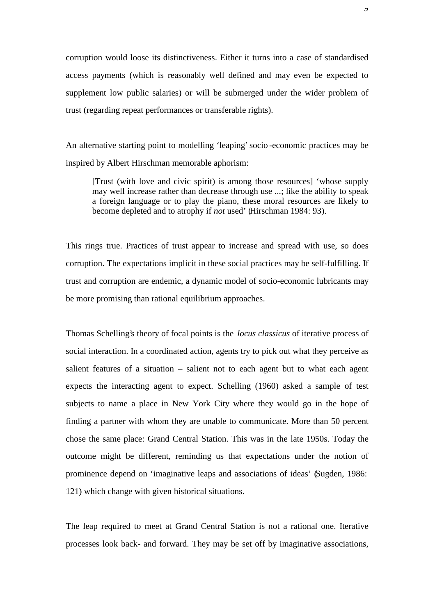corruption would loose its distinctiveness. Either it turns into a case of standardised access payments (which is reasonably well defined and may even be expected to supplement low public salaries) or will be submerged under the wider problem of trust (regarding repeat performances or transferable rights).

An alternative starting point to modelling 'leaping' socio -economic practices may be inspired by Albert Hirschman memorable aphorism:

[Trust (with love and civic spirit) is among those resources] 'whose supply may well increase rather than decrease through use ...; like the ability to speak a foreign language or to play the piano, these moral resources are likely to become depleted and to atrophy if *not* used' (Hirschman 1984: 93).

This rings true. Practices of trust appear to increase and spread with use, so does corruption. The expectations implicit in these social practices may be self-fulfilling. If trust and corruption are endemic, a dynamic model of socio-economic lubricants may be more promising than rational equilibrium approaches.

Thomas Schelling's theory of focal points is the *locus classicus* of iterative process of social interaction. In a coordinated action, agents try to pick out what they perceive as salient features of a situation – salient not to each agent but to what each agent expects the interacting agent to expect. Schelling (1960) asked a sample of test subjects to name a place in New York City where they would go in the hope of finding a partner with whom they are unable to communicate. More than 50 percent chose the same place: Grand Central Station. This was in the late 1950s. Today the outcome might be different, reminding us that expectations under the notion of prominence depend on 'imaginative leaps and associations of ideas' (Sugden, 1986: 121) which change with given historical situations.

The leap required to meet at Grand Central Station is not a rational one. Iterative processes look back- and forward. They may be set off by imaginative associations,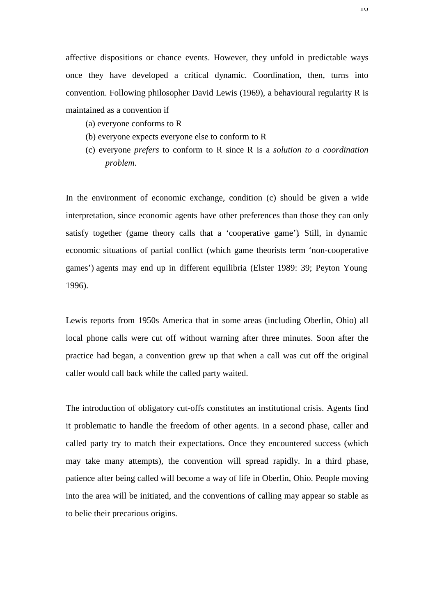affective dispositions or chance events. However, they unfold in predictable ways once they have developed a critical dynamic. Coordination, then, turns into convention. Following philosopher David Lewis (1969), a behavioural regularity R is maintained as a convention if

- (a) everyone conforms to R
- (b) everyone expects everyone else to conform to R
- (c) everyone *prefers* to conform to R since R is a *solution to a coordination problem*.

In the environment of economic exchange, condition (c) should be given a wide interpretation, since economic agents have other preferences than those they can only satisfy together (game theory calls that a 'cooperative game'). Still, in dynamic economic situations of partial conflict (which game theorists term 'non-cooperative games') agents may end up in different equilibria (Elster 1989: 39; Peyton Young 1996).

Lewis reports from 1950s America that in some areas (including Oberlin, Ohio) all local phone calls were cut off without warning after three minutes. Soon after the practice had began, a convention grew up that when a call was cut off the original caller would call back while the called party waited.

The introduction of obligatory cut-offs constitutes an institutional crisis. Agents find it problematic to handle the freedom of other agents. In a second phase, caller and called party try to match their expectations. Once they encountered success (which may take many attempts), the convention will spread rapidly. In a third phase, patience after being called will become a way of life in Oberlin, Ohio. People moving into the area will be initiated, and the conventions of calling may appear so stable as to belie their precarious origins.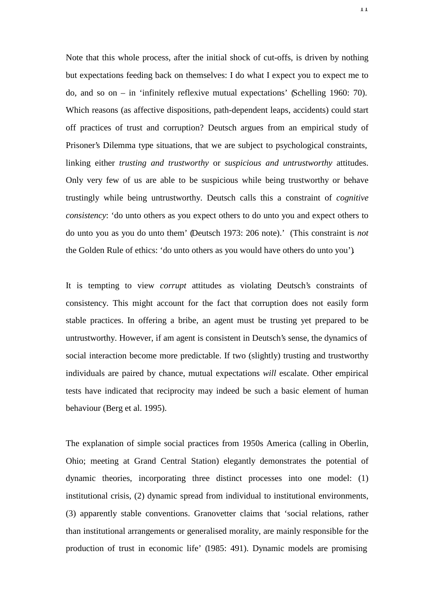Note that this whole process, after the initial shock of cut-offs, is driven by nothing but expectations feeding back on themselves: I do what I expect you to expect me to do, and so on – in 'infinitely reflexive mutual expectations' (Schelling 1960: 70). Which reasons (as affective dispositions, path-dependent leaps, accidents) could start off practices of trust and corruption? Deutsch argues from an empirical study of Prisoner's Dilemma type situations, that we are subject to psychological constraints, linking either *trusting and trustworthy* or *suspicious and untrustworthy* attitudes. Only very few of us are able to be suspicious while being trustworthy or behave trustingly while being untrustworthy. Deutsch calls this a constraint of *cognitive consistency*: 'do unto others as you expect others to do unto you and expect others to do unto you as you do unto them' (Deutsch 1973: 206 note).' (This constraint is *not* the Golden Rule of ethics: 'do unto others as you would have others do unto you').

It is tempting to view *corrupt* attitudes as violating Deutsch's constraints of consistency. This might account for the fact that corruption does not easily form stable practices. In offering a bribe, an agent must be trusting yet prepared to be untrustworthy. However, if am agent is consistent in Deutsch's sense, the dynamics of social interaction become more predictable. If two (slightly) trusting and trustworthy individuals are paired by chance, mutual expectations *will* escalate. Other empirical tests have indicated that reciprocity may indeed be such a basic element of human behaviour (Berg et al. 1995).

The explanation of simple social practices from 1950s America (calling in Oberlin, Ohio; meeting at Grand Central Station) elegantly demonstrates the potential of dynamic theories, incorporating three distinct processes into one model: (1) institutional crisis, (2) dynamic spread from individual to institutional environments, (3) apparently stable conventions. Granovetter claims that 'social relations, rather than institutional arrangements or generalised morality, are mainly responsible for the production of trust in economic life' (1985: 491). Dynamic models are promising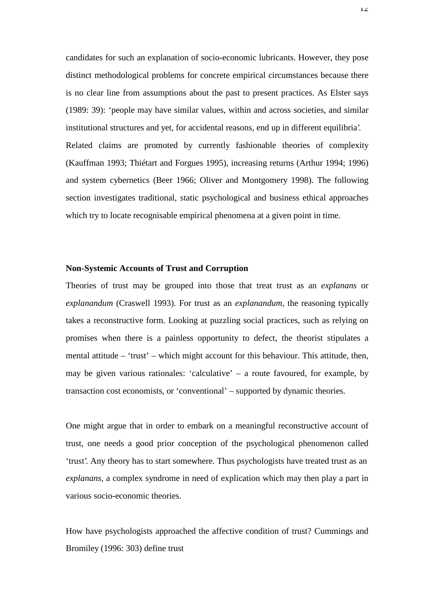candidates for such an explanation of socio-economic lubricants. However, they pose distinct methodological problems for concrete empirical circumstances because there is no clear line from assumptions about the past to present practices. As Elster says (1989: 39): 'people may have similar values, within and across societies, and similar institutional structures and yet, for accidental reasons, end up in different equilibria'. Related claims are promoted by currently fashionable theories of complexity (Kauffman 1993; Thiétart and Forgues 1995), increasing returns (Arthur 1994; 1996) and system cybernetics (Beer 1966; Oliver and Montgomery 1998). The following section investigates traditional, static psychological and business ethical approaches which try to locate recognisable empirical phenomena at a given point in time.

#### **Non-Systemic Accounts of Trust and Corruption**

Theories of trust may be grouped into those that treat trust as an *explanans* or *explanandum* (Craswell 1993). For trust as an *explanandum*, the reasoning typically takes a reconstructive form. Looking at puzzling social practices, such as relying on promises when there is a painless opportunity to defect, the theorist stipulates a mental attitude – 'trust' – which might account for this behaviour. This attitude, then, may be given various rationales: 'calculative' – a route favoured, for example, by transaction cost economists, or 'conventional' – supported by dynamic theories.

One might argue that in order to embark on a meaningful reconstructive account of trust, one needs a good prior conception of the psychological phenomenon called 'trust'. Any theory has to start somewhere. Thus psychologists have treated trust as an *explanans*, a complex syndrome in need of explication which may then play a part in various socio-economic theories.

How have psychologists approached the affective condition of trust? Cummings and Bromiley (1996: 303) define trust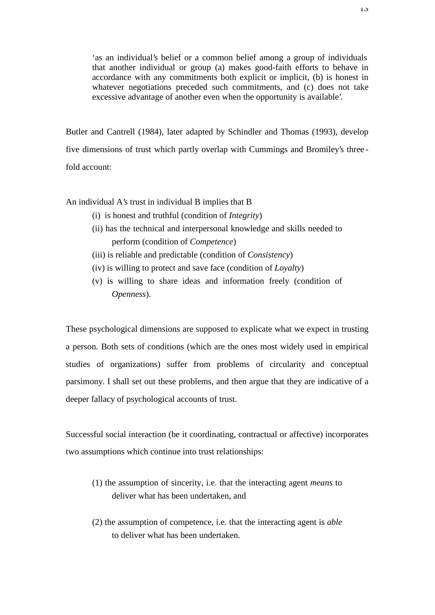'as an individual's belief or a common belief among a group of individuals that another individual or group (a) makes good-faith efforts to behave in accordance with any commitments both explicit or implicit, (b) is honest in whatever negotiations preceded such commitments, and (c) does not take excessive advantage of another even when the opportunity is available'.

Butler and Cantrell (1984), later adapted by Schindler and Thomas (1993), develop five dimensions of trust which partly overlap with Cummings and Bromiley's three fold account:

### An individual A's trust in individual B implies that B

- (i) is honest and truthful (condition of *Integrity*)
- (ii) has the technical and interpersonal knowledge and skills needed to perform (condition of *Competence*)
- (iii) is reliable and predictable (condition of *Consistency*)
- (iv) is willing to protect and save face (condition of *Loyalty*)
- (v) is willing to share ideas and information freely (condition of *Openness*).

These psychological dimensions are supposed to explicate what we expect in trusting a person. Both sets of conditions (which are the ones most widely used in empirical studies of organizations) suffer from problems of circularity and conceptual parsimony. I shall set out these problems, and then argue that they are indicative of a deeper fallacy of psychological accounts of trust.

Successful social interaction (be it coordinating, contractual or affective) incorporates two assumptions which continue into trust relationships:

- (1) the assumption of sincerity, i.e. that the interacting agent *means* to deliver what has been undertaken, and
- (2) the assumption of competence, i.e. that the interacting agent is *able* to deliver what has been undertaken.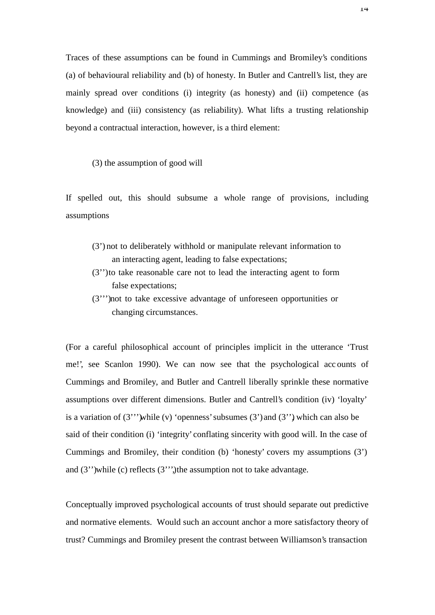Traces of these assumptions can be found in Cummings and Bromiley's conditions (a) of behavioural reliability and (b) of honesty. In Butler and Cantrell's list, they are mainly spread over conditions (i) integrity (as honesty) and (ii) competence (as knowledge) and (iii) consistency (as reliability). What lifts a trusting relationship beyond a contractual interaction, however, is a third element:

(3) the assumption of good will

If spelled out, this should subsume a whole range of provisions, including assumptions

- (3') not to deliberately withhold or manipulate relevant information to an interacting agent, leading to false expectations;
- (3'') to take reasonable care not to lead the interacting agent to form false expectations;
- (3''') not to take excessive advantage of unforeseen opportunities or changing circumstances.

(For a careful philosophical account of principles implicit in the utterance 'Trust me!', see Scanlon 1990). We can now see that the psychological acc ounts of Cummings and Bromiley, and Butler and Cantrell liberally sprinkle these normative assumptions over different dimensions. Butler and Cantrell's condition (iv) 'loyalty' is a variation of  $(3'')$  while (v) 'openness' subsumes  $(3')$  and  $(3'')$ , which can also be said of their condition (i) 'integrity' conflating sincerity with good will. In the case of Cummings and Bromiley, their condition (b) 'honesty' covers my assumptions (3') and (3'') while (c) reflects (3'''), the assumption not to take advantage.

Conceptually improved psychological accounts of trust should separate out predictive and normative elements. Would such an account anchor a more satisfactory theory of trust? Cummings and Bromiley present the contrast between Williamson's transaction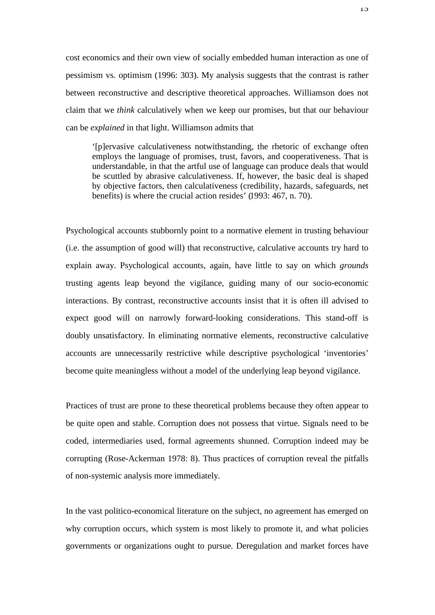cost economics and their own view of socially embedded human interaction as one of pessimism vs. optimism (1996: 303). My analysis suggests that the contrast is rather between reconstructive and descriptive theoretical approaches. Williamson does not claim that we *think* calculatively when we keep our promises, but that our behaviour can be *explained* in that light. Williamson admits that

'[p]ervasive calculativeness notwithstanding, the rhetoric of exchange often employs the language of promises, trust, favors, and cooperativeness. That is understandable, in that the artful use of language can produce deals that would be scuttled by abrasive calculativeness. If, however, the basic deal is shaped by objective factors, then calculativeness (credibility, hazards, safeguards, net benefits) is where the crucial action resides' (1993: 467, n. 70).

Psychological accounts stubbornly point to a normative element in trusting behaviour (i.e. the assumption of good will) that reconstructive, calculative accounts try hard to explain away. Psychological accounts, again, have little to say on which *grounds* trusting agents leap beyond the vigilance, guiding many of our socio-economic interactions. By contrast, reconstructive accounts insist that it is often ill advised to expect good will on narrowly forward-looking considerations. This stand-off is doubly unsatisfactory. In eliminating normative elements, reconstructive calculative accounts are unnecessarily restrictive while descriptive psychological 'inventories' become quite meaningless without a model of the underlying leap beyond vigilance.

Practices of trust are prone to these theoretical problems because they often appear to be quite open and stable. Corruption does not possess that virtue. Signals need to be coded, intermediaries used, formal agreements shunned. Corruption indeed may be corrupting (Rose-Ackerman 1978: 8). Thus practices of corruption reveal the pitfalls of non-systemic analysis more immediately.

In the vast politico-economical literature on the subject, no agreement has emerged on why corruption occurs, which system is most likely to promote it, and what policies governments or organizations ought to pursue. Deregulation and market forces have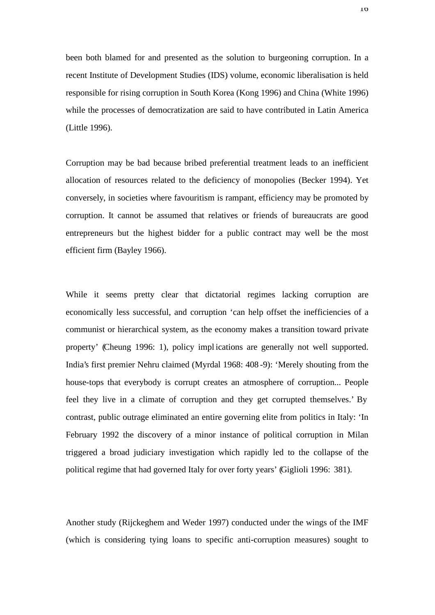been both blamed for and presented as the solution to burgeoning corruption. In a recent Institute of Development Studies (IDS) volume, economic liberalisation is held responsible for rising corruption in South Korea (Kong 1996) and China (White 1996) while the processes of democratization are said to have contributed in Latin America (Little 1996).

Corruption may be bad because bribed preferential treatment leads to an inefficient allocation of resources related to the deficiency of monopolies (Becker 1994). Yet conversely, in societies where favouritism is rampant, efficiency may be promoted by corruption. It cannot be assumed that relatives or friends of bureaucrats are good entrepreneurs but the highest bidder for a public contract may well be the most efficient firm (Bayley 1966).

While it seems pretty clear that dictatorial regimes lacking corruption are economically less successful, and corruption 'can help offset the inefficiencies of a communist or hierarchical system, as the economy makes a transition toward private property' (Cheung 1996: 1), policy impl ications are generally not well supported. India's first premier Nehru claimed (Myrdal 1968: 408 -9): 'Merely shouting from the house-tops that everybody is corrupt creates an atmosphere of corruption... People feel they live in a climate of corruption and they get corrupted themselves.' By contrast, public outrage eliminated an entire governing elite from politics in Italy: 'In February 1992 the discovery of a minor instance of political corruption in Milan triggered a broad judiciary investigation which rapidly led to the collapse of the political regime that had governed Italy for over forty years' (Giglioli 1996: 381).

Another study (Rijckeghem and Weder 1997) conducted under the wings of the IMF (which is considering tying loans to specific anti-corruption measures) sought to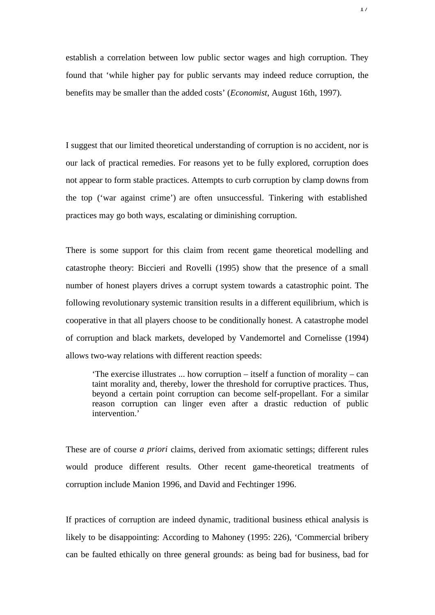establish a correlation between low public sector wages and high corruption. They found that 'while higher pay for public servants may indeed reduce corruption, the benefits may be smaller than the added costs' (*Economist*, August 16th, 1997).

I suggest that our limited theoretical understanding of corruption is no accident, nor is our lack of practical remedies. For reasons yet to be fully explored, corruption does not appear to form stable practices. Attempts to curb corruption by clamp downs from the top ('war against crime') are often unsuccessful. Tinkering with established practices may go both ways, escalating or diminishing corruption.

There is some support for this claim from recent game theoretical modelling and catastrophe theory: Biccieri and Rovelli (1995) show that the presence of a small number of honest players drives a corrupt system towards a catastrophic point. The following revolutionary systemic transition results in a different equilibrium, which is cooperative in that all players choose to be conditionally honest. A catastrophe model of corruption and black markets, developed by Vandemortel and Cornelisse (1994) allows two-way relations with different reaction speeds:

'The exercise illustrates ... how corruption – itself a function of morality – can taint morality and, thereby, lower the threshold for corruptive practices. Thus, beyond a certain point corruption can become self-propellant. For a similar reason corruption can linger even after a drastic reduction of public intervention.'

These are of course *a priori* claims, derived from axiomatic settings; different rules would produce different results. Other recent game-theoretical treatments of corruption include Manion 1996, and David and Fechtinger 1996.

If practices of corruption are indeed dynamic, traditional business ethical analysis is likely to be disappointing: According to Mahoney (1995: 226), 'Commercial bribery can be faulted ethically on three general grounds: as being bad for business, bad for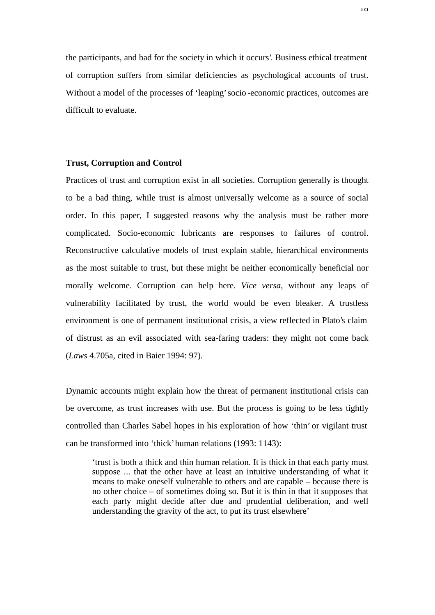the participants, and bad for the society in which it occurs'. Business ethical treatment of corruption suffers from similar deficiencies as psychological accounts of trust. Without a model of the processes of 'leaping' socio -economic practices, outcomes are difficult to evaluate.

#### **Trust, Corruption and Control**

Practices of trust and corruption exist in all societies. Corruption generally is thought to be a bad thing, while trust is almost universally welcome as a source of social order. In this paper, I suggested reasons why the analysis must be rather more complicated. Socio-economic lubricants are responses to failures of control. Reconstructive calculative models of trust explain stable, hierarchical environments as the most suitable to trust, but these might be neither economically beneficial nor morally welcome. Corruption can help here. *Vice versa*, without any leaps of vulnerability facilitated by trust, the world would be even bleaker. A trustless environment is one of permanent institutional crisis, a view reflected in Plato's claim of distrust as an evil associated with sea-faring traders: they might not come back (*Laws* 4.705a, cited in Baier 1994: 97).

Dynamic accounts might explain how the threat of permanent institutional crisis can be overcome, as trust increases with use. But the process is going to be less tightly controlled than Charles Sabel hopes in his exploration of how 'thin' or vigilant trust can be transformed into 'thick' human relations (1993: 1143):

'trust is both a thick and thin human relation. It is thick in that each party must suppose ... that the other have at least an intuitive understanding of what it means to make oneself vulnerable to others and are capable – because there is no other choice – of sometimes doing so. But it is thin in that it supposes that each party might decide after due and prudential deliberation, and well understanding the gravity of the act, to put its trust elsewhere'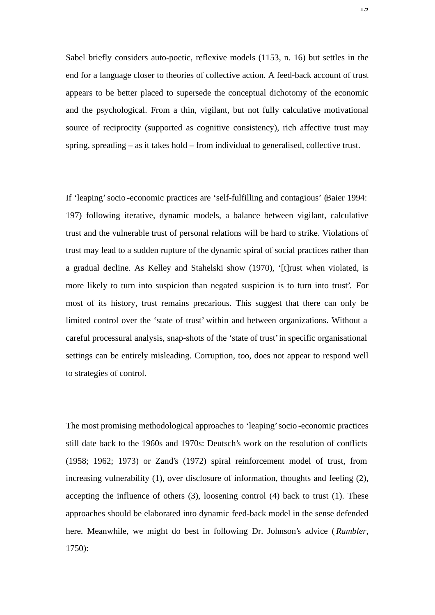Sabel briefly considers auto-poetic, reflexive models (1153, n. 16) but settles in the end for a language closer to theories of collective action. A feed-back account of trust appears to be better placed to supersede the conceptual dichotomy of the economic and the psychological. From a thin, vigilant, but not fully calculative motivational source of reciprocity (supported as cognitive consistency), rich affective trust may spring, spreading – as it takes hold – from individual to generalised, collective trust.

If 'leaping' socio -economic practices are 'self-fulfilling and contagious' (Baier 1994: 197) following iterative, dynamic models, a balance between vigilant, calculative trust and the vulnerable trust of personal relations will be hard to strike. Violations of trust may lead to a sudden rupture of the dynamic spiral of social practices rather than a gradual decline. As Kelley and Stahelski show (1970), '[t]rust when violated, is more likely to turn into suspicion than negated suspicion is to turn into trust'. For most of its history, trust remains precarious. This suggest that there can only be limited control over the 'state of trust' within and between organizations. Without a careful processural analysis, snap-shots of the 'state of trust' in specific organisational settings can be entirely misleading. Corruption, too, does not appear to respond well to strategies of control.

The most promising methodological approaches to 'leaping' socio -economic practices still date back to the 1960s and 1970s: Deutsch's work on the resolution of conflicts (1958; 1962; 1973) or Zand's (1972) spiral reinforcement model of trust, from increasing vulnerability (1), over disclosure of information, thoughts and feeling (2), accepting the influence of others (3), loosening control (4) back to trust (1). These approaches should be elaborated into dynamic feed-back model in the sense defended here. Meanwhile, we might do best in following Dr. Johnson's advice (*Rambler*, 1750):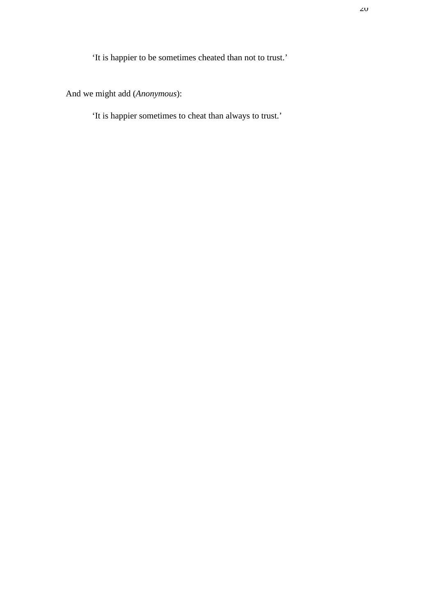'It is happier to be sometimes cheated than not to trust.'

And we might add (*Anonymous*):

'It is happier sometimes to cheat than always to trust.'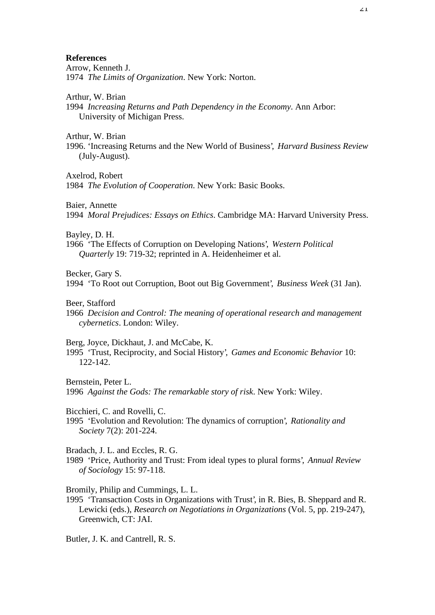#### **References**

Arrow, Kenneth J. 1974 *The Limits of Organization*. New York: Norton.

Arthur, W. Brian

1994 *Increasing Returns and Path Dependency in the Economy*. Ann Arbor: University of Michigan Press.

Arthur, W. Brian

1996. 'Increasing Returns and the New World of Business', *Harvard Business Review* (July-August).

Axelrod, Robert

1984 *The Evolution of Cooperation*. New York: Basic Books.

Baier, Annette

1994 *Moral Prejudices: Essays on Ethics*. Cambridge MA: Harvard University Press.

Bayley, D. H.

1966 'The Effects of Corruption on Developing Nations', *Western Political Quarterly* 19: 719-32; reprinted in A. Heidenheimer et al.

Becker, Gary S.

1994 'To Root out Corruption, Boot out Big Government', *Business Week* (31 Jan).

Beer, Stafford

1966 *Decision and Control: The meaning of operational research and management cybernetics*. London: Wiley.

Berg, Joyce, Dickhaut, J. and McCabe, K.

1995 'Trust, Reciprocity, and Social History', *Games and Economic Behavior* 10: 122-142.

Bernstein, Peter L.

1996 *Against the Gods: The remarkable story of risk*. New York: Wiley.

Bicchieri, C. and Rovelli, C.

1995 'Evolution and Revolution: The dynamics of corruption', *Rationality and Society* 7(2): 201-224.

Bradach, J. L. and Eccles, R. G.

1989 'Price, Authority and Trust: From ideal types to plural forms', *Annual Review of Sociology* 15: 97-118.

Bromily, Philip and Cummings, L. L.

1995 'Transaction Costs in Organizations with Trust', in R. Bies, B. Sheppard and R. Lewicki (eds.), *Research on Negotiations in Organizations* (Vol. 5, pp. 219-247), Greenwich, CT: JAI.

Butler, J. K. and Cantrell, R. S.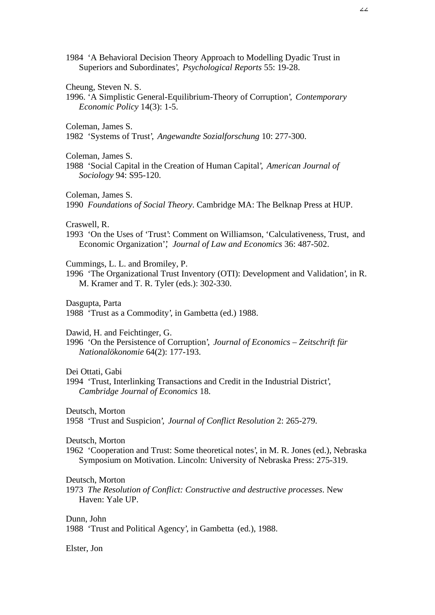1984 'A Behavioral Decision Theory Approach to Modelling Dyadic Trust in Superiors and Subordinates', *Psychological Reports* 55: 19-28.

Cheung, Steven N. S.

1996. 'A Simplistic General-Equilibrium-Theory of Corruption', *Contemporary Economic Policy* 14(3): 1-5.

Coleman, James S.

1982 'Systems of Trust', *Angewandte Sozialforschung* 10: 277-300.

Coleman, James S.

1988 'Social Capital in the Creation of Human Capital', *American Journal of Sociology* 94: S95-120.

Coleman, James S.

1990 *Foundations of Social Theory*. Cambridge MA: The Belknap Press at HUP.

Craswell, R.

1993 'On the Uses of 'Trust': Comment on Williamson, 'Calculativeness, Trust, and Economic Organization'', *Journal of Law and Economics* 36: 487-502.

Cummings, L. L. and Bromiley, P.

1996 'The Organizational Trust Inventory (OTI): Development and Validation', in R. M. Kramer and T. R. Tyler (eds.): 302-330.

Dasgupta, Parta

1988 'Trust as a Commodity', in Gambetta (ed.) 1988.

Dawid, H. and Feichtinger, G.

1996 'On the Persistence of Corruption', *Journal of Economics – Zeitschrift für Nationalökonomie* 64(2): 177-193.

Dei Ottati, Gabi

1994 'Trust, Interlinking Transactions and Credit in the Industrial District', *Cambridge Journal of Economics* 18.

Deutsch, Morton

1958 'Trust and Suspicion', *Journal of Conflict Resolution* 2: 265-279.

Deutsch, Morton

1962 'Cooperation and Trust: Some theoretical notes', in M. R. Jones (ed.), Nebraska Symposium on Motivation. Lincoln: University of Nebraska Press: 275-319.

Deutsch, Morton

1973 *The Resolution of Conflict: Constructive and destructive processes*. New Haven: Yale UP.

Dunn, John

1988 'Trust and Political Agency', in Gambetta (ed.), 1988.

Elster, Jon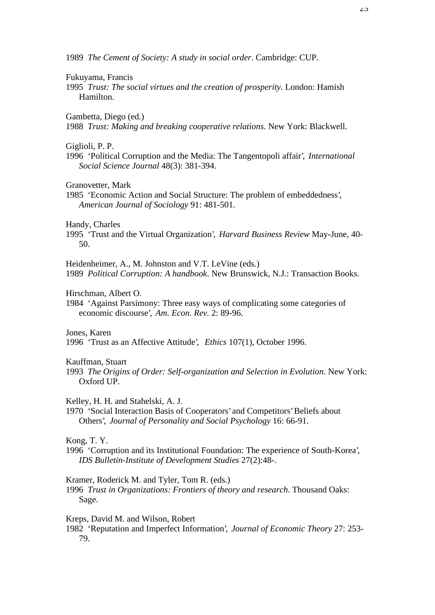1989 *The Cement of Society: A study in social order*. Cambridge: CUP.

#### Fukuyama, Francis

1995 *Trust: The social virtues and the creation of prosperity*. London: Hamish Hamilton.

Gambetta, Diego (ed.)

1988 *Trust: Making and breaking cooperative relations*. New York: Blackwell.

Giglioli, P. P.

1996 'Political Corruption and the Media: The Tangentopoli affair', *International Social Science Journal* 48(3): 381-394.

Granovetter, Mark

1985 'Economic Action and Social Structure: The problem of embeddedness', *American Journal of Sociology* 91: 481-501.

Handy, Charles

1995 'Trust and the Virtual Organization', *Harvard Business Review* May-June, 40- 50.

Heidenheimer, A., M. Johnston and V.T. LeVine (eds.) 1989 *Political Corruption: A handbook*. New Brunswick, N.J.: Transaction Books.

Hirschman, Albert O.

1984 'Against Parsimony: Three easy ways of complicating some categories of economic discourse', *Am. Econ. Rev.* 2: 89-96.

Jones, Karen

1996 'Trust as an Affective Attitude', *Ethics* 107(1), October 1996.

Kauffman, Stuart

1993 *The Origins of Order: Self-organization and Selection in Evolution*. New York: Oxford UP.

Kelley, H. H. and Stahelski, A. J.

1970 'Social Interaction Basis of Cooperators' and Competitors' Beliefs about Others', *Journal of Personality and Social Psychology* 16: 66-91.

Kong, T. Y.

1996 'Corruption and its Institutional Foundation: The experience of South-Korea', *IDS Bulletin-Institute of Development Studies* 27(2):48-.

Kramer, Roderick M. and Tyler, Tom R. (eds.)

1996 *Trust in Organizations: Frontiers of theory and research*. Thousand Oaks: Sage.

Kreps, David M. and Wilson, Robert

1982 'Reputation and Imperfect Information', *Journal of Economic Theory* 27: 253- 79.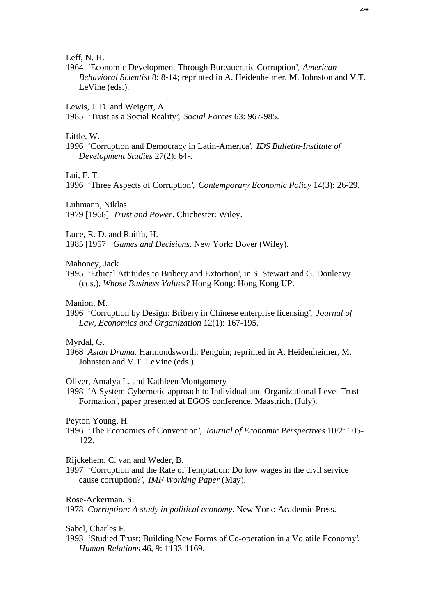Leff, N. H.

1964 'Economic Development Through Bureaucratic Corruption', *American Behavioral Scientist* 8: 8-14; reprinted in A. Heidenheimer, M. Johnston and V.T. LeVine (eds.).

Lewis, J. D. and Weigert, A.

1985 'Trust as a Social Reality', *Social Forces* 63: 967-985.

Little, W.

1996 'Corruption and Democracy in Latin-America', *IDS Bulletin-Institute of Development Studies* 27(2): 64-.

Lui, F. T.

1996 'Three Aspects of Corruption', *Contemporary Economic Policy* 14(3): 26-29.

Luhmann, Niklas

1979 [1968] *Trust and Power*. Chichester: Wiley.

Luce, R. D. and Raiffa, H.

1985 [1957] *Games and Decisions*. New York: Dover (Wiley).

Mahoney, Jack

1995 'Ethical Attitudes to Bribery and Extortion', in S. Stewart and G. Donleavy (eds.), *Whose Business Values?* Hong Kong: Hong Kong UP.

Manion, M.

1996 'Corruption by Design: Bribery in Chinese enterprise licensing', *Journal of Law, Economics and Organization* 12(1): 167-195.

Myrdal, G.

1968 *Asian Drama*. Harmondsworth: Penguin; reprinted in A. Heidenheimer, M. Johnston and V.T. LeVine (eds.).

Oliver, Amalya L. and Kathleen Montgomery

1998 'A System Cybernetic approach to Individual and Organizational Level Trust Formation', paper presented at EGOS conference, Maastricht (July).

Peyton Young, H.

1996 'The Economics of Convention', *Journal of Economic Perspectives* 10/2: 105- 122.

Rijckehem, C. van and Weder, B.

1997 'Corruption and the Rate of Temptation: Do low wages in the civil service cause corruption?', *IMF Working Paper* (May).

Rose-Ackerman, S.

1978 *Corruption: A study in political economy*. New York: Academic Press.

Sabel, Charles F.

1993 'Studied Trust: Building New Forms of Co-operation in a Volatile Economy', *Human Relations* 46, 9: 1133-1169.